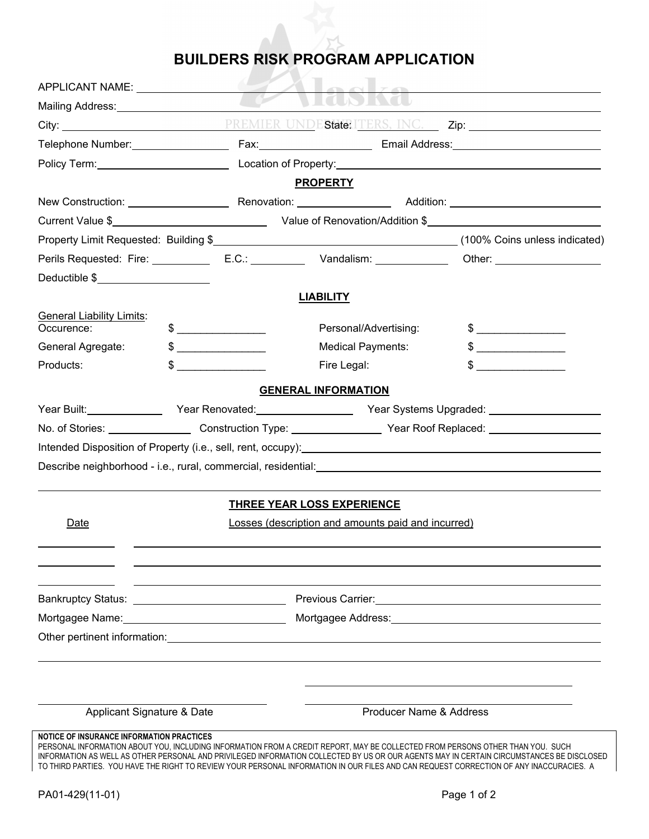## **BUILDERS RISK PROGRAM APPLICATION**

| APPLICANT NAME: NAME:                            |                                                                                                                                                                                                                                                                                                                                                     |  |                                                                                                                                                                                                                                |                                                                                                                                                                                                                                                                                     |  |
|--------------------------------------------------|-----------------------------------------------------------------------------------------------------------------------------------------------------------------------------------------------------------------------------------------------------------------------------------------------------------------------------------------------------|--|--------------------------------------------------------------------------------------------------------------------------------------------------------------------------------------------------------------------------------|-------------------------------------------------------------------------------------------------------------------------------------------------------------------------------------------------------------------------------------------------------------------------------------|--|
| Mailing Address: Mailing Address:                |                                                                                                                                                                                                                                                                                                                                                     |  |                                                                                                                                                                                                                                |                                                                                                                                                                                                                                                                                     |  |
|                                                  |                                                                                                                                                                                                                                                                                                                                                     |  |                                                                                                                                                                                                                                |                                                                                                                                                                                                                                                                                     |  |
|                                                  |                                                                                                                                                                                                                                                                                                                                                     |  |                                                                                                                                                                                                                                |                                                                                                                                                                                                                                                                                     |  |
|                                                  |                                                                                                                                                                                                                                                                                                                                                     |  |                                                                                                                                                                                                                                | Policy Term: <u>Consultance Constantine Constantine Constantine Constantine Constantine Constantine Constantine Constantine Constantine Constantine Constantine Constantine Constantine Constantine Constantine Constantine Cons</u>                                                |  |
|                                                  |                                                                                                                                                                                                                                                                                                                                                     |  | <b>PROPERTY</b>                                                                                                                                                                                                                |                                                                                                                                                                                                                                                                                     |  |
|                                                  |                                                                                                                                                                                                                                                                                                                                                     |  |                                                                                                                                                                                                                                |                                                                                                                                                                                                                                                                                     |  |
|                                                  |                                                                                                                                                                                                                                                                                                                                                     |  |                                                                                                                                                                                                                                |                                                                                                                                                                                                                                                                                     |  |
|                                                  |                                                                                                                                                                                                                                                                                                                                                     |  |                                                                                                                                                                                                                                |                                                                                                                                                                                                                                                                                     |  |
|                                                  |                                                                                                                                                                                                                                                                                                                                                     |  |                                                                                                                                                                                                                                |                                                                                                                                                                                                                                                                                     |  |
| Deductible \$                                    |                                                                                                                                                                                                                                                                                                                                                     |  |                                                                                                                                                                                                                                |                                                                                                                                                                                                                                                                                     |  |
|                                                  |                                                                                                                                                                                                                                                                                                                                                     |  | <b>LIABILITY</b>                                                                                                                                                                                                               |                                                                                                                                                                                                                                                                                     |  |
| <b>General Liability Limits:</b>                 |                                                                                                                                                                                                                                                                                                                                                     |  |                                                                                                                                                                                                                                |                                                                                                                                                                                                                                                                                     |  |
| Occurence:                                       | $\begin{picture}(20,10) \put(0,0){\line(1,0){10}} \put(15,0){\line(1,0){10}} \put(15,0){\line(1,0){10}} \put(15,0){\line(1,0){10}} \put(15,0){\line(1,0){10}} \put(15,0){\line(1,0){10}} \put(15,0){\line(1,0){10}} \put(15,0){\line(1,0){10}} \put(15,0){\line(1,0){10}} \put(15,0){\line(1,0){10}} \put(15,0){\line(1,0){10}} \put(15,0){\line(1$ |  | Personal/Advertising:                                                                                                                                                                                                          | $\frac{1}{2}$                                                                                                                                                                                                                                                                       |  |
| General Agregate:                                | $\frac{1}{2}$                                                                                                                                                                                                                                                                                                                                       |  | <b>Medical Payments:</b>                                                                                                                                                                                                       | $\frac{1}{2}$                                                                                                                                                                                                                                                                       |  |
| Products:                                        | $\sim$                                                                                                                                                                                                                                                                                                                                              |  | Fire Legal:                                                                                                                                                                                                                    | $\frac{1}{2}$                                                                                                                                                                                                                                                                       |  |
|                                                  |                                                                                                                                                                                                                                                                                                                                                     |  | <b>GENERAL INFORMATION</b>                                                                                                                                                                                                     |                                                                                                                                                                                                                                                                                     |  |
|                                                  |                                                                                                                                                                                                                                                                                                                                                     |  |                                                                                                                                                                                                                                | Year Built:__________________Year Renovated:__________________Year Systems Upgraded: ________________________                                                                                                                                                                       |  |
|                                                  |                                                                                                                                                                                                                                                                                                                                                     |  | No. of Stories: _______________________Construction Type: _____________________Year Roof Replaced: ___________________                                                                                                         |                                                                                                                                                                                                                                                                                     |  |
|                                                  |                                                                                                                                                                                                                                                                                                                                                     |  |                                                                                                                                                                                                                                | Intended Disposition of Property (i.e., sell, rent, occupy): Manual Community of Disposition of Property (i.e., sell, rent, occupy):                                                                                                                                                |  |
|                                                  |                                                                                                                                                                                                                                                                                                                                                     |  |                                                                                                                                                                                                                                |                                                                                                                                                                                                                                                                                     |  |
|                                                  |                                                                                                                                                                                                                                                                                                                                                     |  |                                                                                                                                                                                                                                |                                                                                                                                                                                                                                                                                     |  |
|                                                  |                                                                                                                                                                                                                                                                                                                                                     |  | <b>THREE YEAR LOSS EXPERIENCE</b>                                                                                                                                                                                              |                                                                                                                                                                                                                                                                                     |  |
| Date                                             | Losses (description and amounts paid and incurred)                                                                                                                                                                                                                                                                                                  |  |                                                                                                                                                                                                                                |                                                                                                                                                                                                                                                                                     |  |
|                                                  |                                                                                                                                                                                                                                                                                                                                                     |  |                                                                                                                                                                                                                                |                                                                                                                                                                                                                                                                                     |  |
|                                                  |                                                                                                                                                                                                                                                                                                                                                     |  |                                                                                                                                                                                                                                |                                                                                                                                                                                                                                                                                     |  |
|                                                  |                                                                                                                                                                                                                                                                                                                                                     |  |                                                                                                                                                                                                                                |                                                                                                                                                                                                                                                                                     |  |
|                                                  |                                                                                                                                                                                                                                                                                                                                                     |  |                                                                                                                                                                                                                                |                                                                                                                                                                                                                                                                                     |  |
|                                                  |                                                                                                                                                                                                                                                                                                                                                     |  | Mortgagee Name: Mortgagee Address: Mortgagee Address: Mortgagee Address: Mortgagee Name: Mortgagee Address: Mortgagee Address: Mortgagee Address: Mortgagee Address: Mortgagee Address: Mortgagee Address: Mortgagee Address:  |                                                                                                                                                                                                                                                                                     |  |
|                                                  |                                                                                                                                                                                                                                                                                                                                                     |  | Other pertinent information: example and a series of the series of the series of the series of the series of the series of the series of the series of the series of the series of the series of the series of the series of t |                                                                                                                                                                                                                                                                                     |  |
|                                                  |                                                                                                                                                                                                                                                                                                                                                     |  |                                                                                                                                                                                                                                |                                                                                                                                                                                                                                                                                     |  |
|                                                  |                                                                                                                                                                                                                                                                                                                                                     |  |                                                                                                                                                                                                                                |                                                                                                                                                                                                                                                                                     |  |
|                                                  |                                                                                                                                                                                                                                                                                                                                                     |  |                                                                                                                                                                                                                                |                                                                                                                                                                                                                                                                                     |  |
| Applicant Signature & Date                       |                                                                                                                                                                                                                                                                                                                                                     |  | Producer Name & Address                                                                                                                                                                                                        |                                                                                                                                                                                                                                                                                     |  |
|                                                  |                                                                                                                                                                                                                                                                                                                                                     |  |                                                                                                                                                                                                                                |                                                                                                                                                                                                                                                                                     |  |
| <b>NOTICE OF INSURANCE INFORMATION PRACTICES</b> |                                                                                                                                                                                                                                                                                                                                                     |  | PERSONAL INFORMATION ABOUT YOU, INCLUDING INFORMATION FROM A CREDIT REPORT, MAY BE COLLECTED FROM PERSONS OTHER THAN YOU. SUCH                                                                                                 | INFORMATION AS WELL AS OTHER PERSONAL AND PRIVILEGED INFORMATION COLLECTED BY US OR OUR AGENTS MAY IN CERTAIN CIRCUMSTANCES BE DISCLOSED<br>TO THIRD PARTIES. YOU HAVE THE RIGHT TO REVIEW YOUR PERSONAL INFORMATION IN OUR FILES AND CAN REQUEST CORRECTION OF ANY INACCURACIES. A |  |